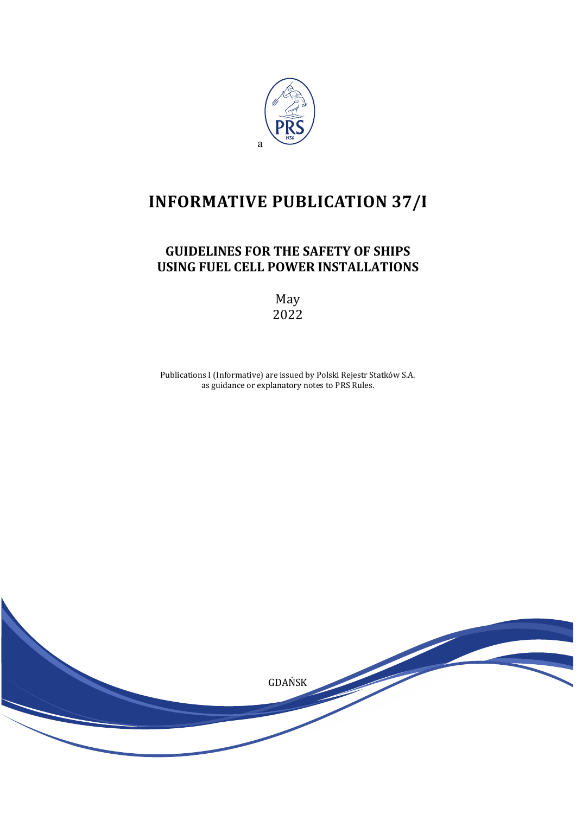

# **INFORMATIVE PUBLICATION 37/I**

## **GUIDELINES FOR THE SAFETY OF SHIPS USING FUEL CELL POWER INSTALLATIONS**

May 2022

Publications I (Informative) are issued by Polski Rejestr Statków S.A. as guidance or explanatory notes to PRS Rules.

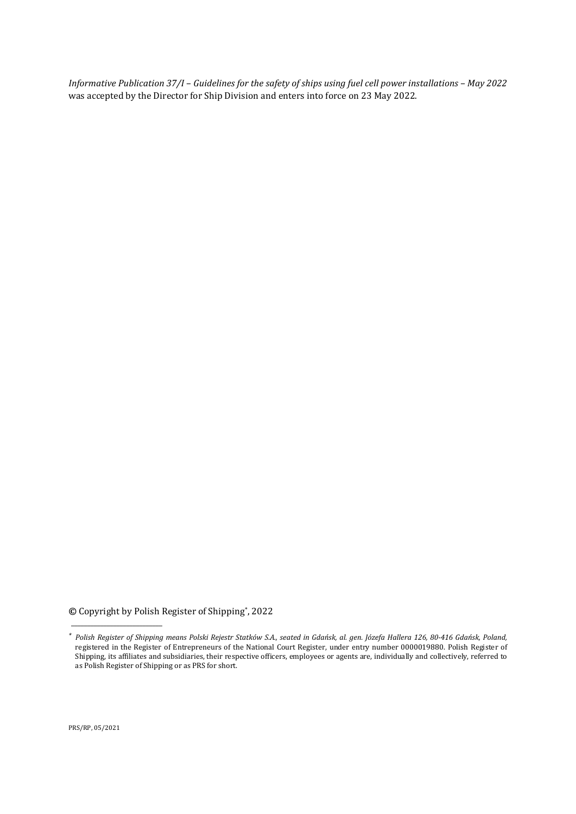*Informative Publication 37/I* – *Guidelines for the safety of ships using fuel cell power installations – May 2022* was accepted by the Director for Ship Division and enters into force on 23 May 2022.

**©** Copyright by Polish Register of Shipping\*, 2022

PRS/RP, 05/2021

\_\_\_\_\_\_\_\_\_\_\_\_\_\_\_\_\_\_\_\_\_\_\_\_\_\_\_\_

*<sup>\*</sup> Polish Register of Shipping means Polski Rejestr Statków S.A., seated in Gdańsk, al. gen. Józefa Hallera 126, 80-416 Gdańsk, Poland,* registered in the Register of Entrepreneurs of the National Court Register, under entry number 0000019880. Polish Register of Shipping, its affiliates and subsidiaries, their respective officers, employees or agents are, individually and collectively, referred to as Polish Register of Shipping or as PRS for short.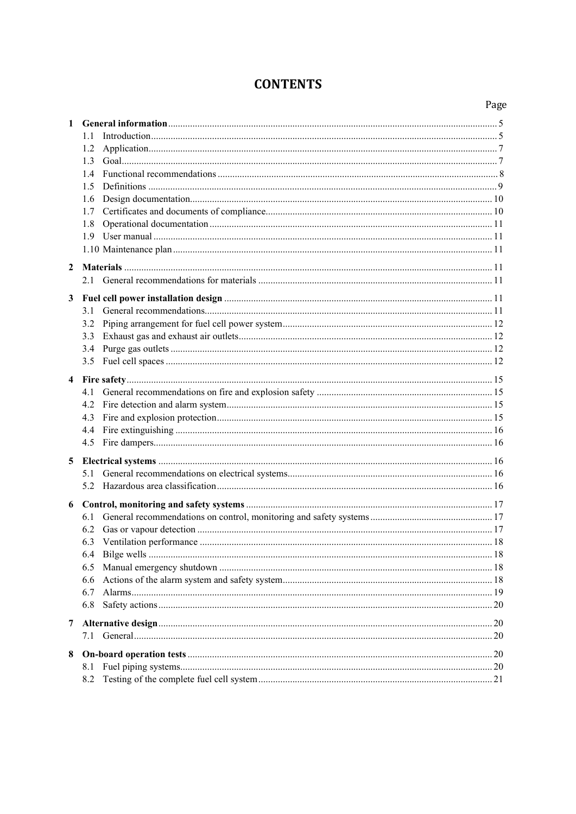## **CONTENTS**

| $\mathbf{1}$ |     |  |  |  |  |  |
|--------------|-----|--|--|--|--|--|
|              | 1.1 |  |  |  |  |  |
|              | 1.2 |  |  |  |  |  |
|              | 1.3 |  |  |  |  |  |
|              | 1.4 |  |  |  |  |  |
|              | 1.5 |  |  |  |  |  |
|              | 1.6 |  |  |  |  |  |
|              | 1.7 |  |  |  |  |  |
|              | 1.8 |  |  |  |  |  |
|              | 1.9 |  |  |  |  |  |
|              |     |  |  |  |  |  |
| 2            |     |  |  |  |  |  |
|              |     |  |  |  |  |  |
| 3            |     |  |  |  |  |  |
|              |     |  |  |  |  |  |
|              | 3.2 |  |  |  |  |  |
|              | 3.3 |  |  |  |  |  |
|              | 3.4 |  |  |  |  |  |
|              | 3.5 |  |  |  |  |  |
| 4            |     |  |  |  |  |  |
|              | 4.1 |  |  |  |  |  |
|              | 4.2 |  |  |  |  |  |
|              | 4.3 |  |  |  |  |  |
|              | 4.4 |  |  |  |  |  |
|              | 4.5 |  |  |  |  |  |
| 5            |     |  |  |  |  |  |
|              |     |  |  |  |  |  |
|              | 5.2 |  |  |  |  |  |
|              |     |  |  |  |  |  |
|              | 6.1 |  |  |  |  |  |
|              |     |  |  |  |  |  |
|              |     |  |  |  |  |  |
|              | 6.4 |  |  |  |  |  |
|              | 6.5 |  |  |  |  |  |
|              | 6.6 |  |  |  |  |  |
|              | 6.7 |  |  |  |  |  |
|              | 6.8 |  |  |  |  |  |
| 7            |     |  |  |  |  |  |
|              | 7.1 |  |  |  |  |  |
| 8            |     |  |  |  |  |  |
|              | 8.1 |  |  |  |  |  |
|              | 8.2 |  |  |  |  |  |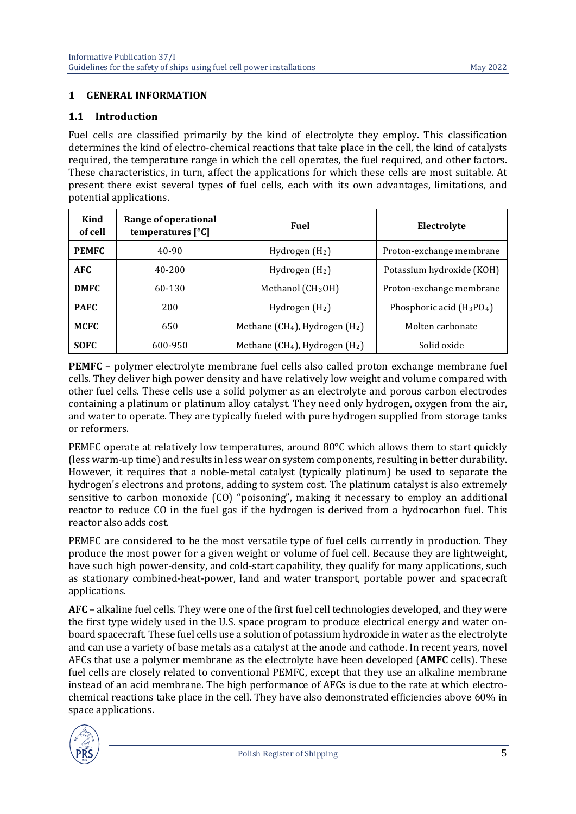#### <span id="page-4-0"></span>**1 GENERAL INFORMATION**

#### <span id="page-4-1"></span>**1.1 Introduction**

Fuel cells are classified primarily by the kind of electrolyte they employ. This classification determines the kind of electro-chemical reactions that take place in the cell, the kind of catalysts required, the temperature range in which the cell operates, the fuel required, and other factors. These characteristics, in turn, affect the applications for which these cells are most suitable. At present there exist several types of fuel cells, each with its own advantages, limitations, and potential applications.

| Kind<br>of cell        | Range of operational<br>temperatures $[°C]$ | <b>Fuel</b>                                            | Electrolyte                 |
|------------------------|---------------------------------------------|--------------------------------------------------------|-----------------------------|
| <b>PEMFC</b>           | 40-90                                       | Hydrogen $(H_2)$                                       | Proton-exchange membrane    |
| <b>AFC</b>             | 40-200                                      | Hydrogen $(H2)$                                        | Potassium hydroxide (KOH)   |
| <b>DMFC</b>            | 60-130                                      | Methanol (CH <sub>3</sub> OH)                          | Proton-exchange membrane    |
| <b>PAFC</b>            | 200                                         | Hydrogen $(H_2)$                                       | Phosphoric acid $(H_3PO_4)$ |
| MCFC                   | 650                                         | Methane (CH <sub>4</sub> ), Hydrogen (H <sub>2</sub> ) | Molten carbonate            |
| <b>SOFC</b><br>600-950 |                                             | Methane ( $CH4$ ), Hydrogen ( $H2$ )                   | Solid oxide                 |

**PEMFC** – polymer electrolyte membrane fuel cells also called proton exchange membrane fuel cells. They deliver high power density and have relatively low weight and volume compared with other fuel cells. These cells use a solid polymer as an electrolyte and porous carbon electrodes containing a platinum or platinum alloy catalyst. They need only hydrogen, oxygen from the air, and water to operate. They are typically fueled with pure hydrogen supplied from storage tanks or reformers.

PEMFC operate at relatively low temperatures, around 80°C which allows them to start quickly (less warm-up time) and results in less wear on system components, resulting in better durability. However, it requires that a noble-metal catalyst (typically platinum) be used to separate the hydrogen's electrons and protons, adding to system cost. The platinum catalyst is also extremely sensitive to carbon monoxide (CO) "poisoning", making it necessary to employ an additional reactor to reduce CO in the fuel gas if the hydrogen is derived from a hydrocarbon fuel. This reactor also adds cost.

PEMFC are considered to be the most versatile type of fuel cells currently in production. They produce the most power for a given weight or volume of fuel cell. Because they are lightweight, have such high power-density, and cold-start capability, they qualify for many applications, such as stationary combined-heat-power, land and water transport, portable power and spacecraft applications.

**AFC** – alkaline fuel cells. They were one of the first fuel cell technologies developed, and they were the first type widely used in the U.S. space program to produce electrical energy and water onboard spacecraft. These fuel cells use a solution of potassium hydroxide in water as the electrolyte and can use a variety of base metals as a catalyst at the anode and cathode. In recent years, novel AFCs that use a polymer membrane as the electrolyte have been developed (**AMFC** cells). These fuel cells are closely related to conventional PEMFC, except that they use an alkaline membrane instead of an acid membrane. The high performance of AFCs is due to the rate at which electrochemical reactions take place in the cell. They have also demonstrated efficiencies above 60% in space applications.

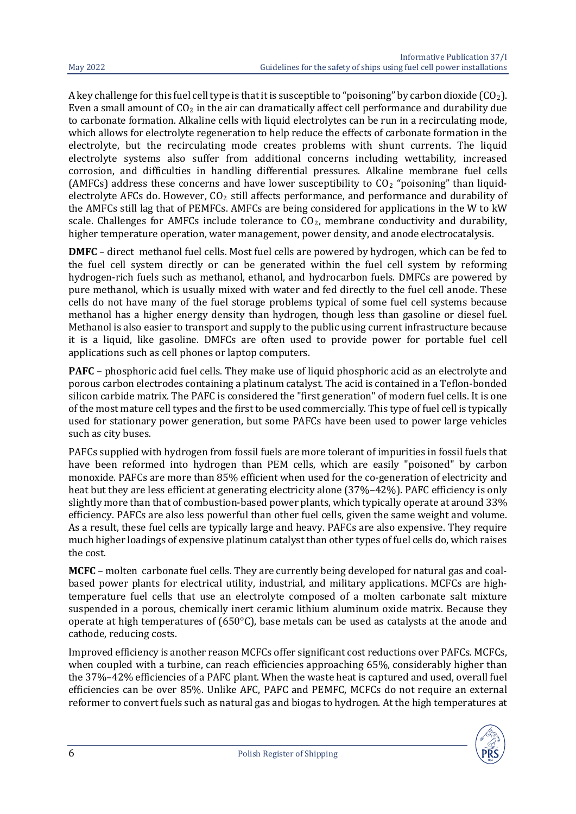A key challenge for this fuel cell type is that it is susceptible to "poisoning" by carbon dioxide  $(CO<sub>2</sub>)$ . Even a small amount of  $CO<sub>2</sub>$  in the air can dramatically affect cell performance and durability due to carbonate formation. Alkaline cells with liquid electrolytes can be run in a recirculating mode, which allows for electrolyte regeneration to help reduce the effects of carbonate formation in the electrolyte, but the recirculating mode creates problems with shunt currents. The liquid electrolyte systems also suffer from additional concerns including wettability, increased corrosion, and difficulties in handling differential pressures. Alkaline membrane fuel cells (AMFCs) address these concerns and have lower susceptibility to  $CO<sub>2</sub>$  "poisoning" than liquidelectrolyte AFCs do. However, CO<sub>2</sub> still affects performance, and performance and durability of the AMFCs still lag that of PEMFCs. AMFCs are being considered for applications in the W to kW scale. Challenges for AMFCs include tolerance to  $CO<sub>2</sub>$ , membrane conductivity and durability, higher temperature operation, water management, power density, and anode electrocatalysis.

**DMFC** – direct methanol fuel cells. Most fuel cells are powered by hydrogen, which can be fed to the fuel cell system directly or can be generated within the fuel cell system by reforming hydrogen-rich fuels such as methanol, ethanol, and hydrocarbon fuels. DMFCs are powered by pure methanol, which is usually mixed with water and fed directly to the fuel cell anode. These cells do not have many of the fuel storage problems typical of some fuel cell systems because methanol has a higher energy density than hydrogen, though less than gasoline or diesel fuel. Methanol is also easier to transport and supply to the public using current infrastructure because it is a liquid, like gasoline. DMFCs are often used to provide power for portable fuel cell applications such as cell phones or laptop computers.

**PAFC** – phosphoric acid fuel cells. They make use of liquid phosphoric acid as an electrolyte and porous carbon electrodes containing a platinum catalyst. The acid is contained in a Teflon-bonded silicon carbide matrix. The PAFC is considered the "first generation" of modern fuel cells. It is one of the most mature cell types and the first to be used commercially. This type of fuel cell is typically used for stationary power generation, but some PAFCs have been used to power large vehicles such as city buses.

PAFCs supplied with hydrogen from fossil fuels are more tolerant of impurities in fossil fuels that have been reformed into hydrogen than PEM cells, which are easily "poisoned" by carbon monoxide. PAFCs are more than 85% efficient when used for the co-generation of electricity and heat but they are less efficient at generating electricity alone (37%–42%). PAFC efficiency is only slightly more than that of combustion-based power plants, which typically operate at around 33% efficiency. PAFCs are also less powerful than other fuel cells, given the same weight and volume. As a result, these fuel cells are typically large and heavy. PAFCs are also expensive. They require much higher loadings of expensive platinum catalyst than other types of fuel cells do, which raises the cost.

**MCFC** – molten carbonate fuel cells. They are currently being developed for natural gas and coalbased power plants for electrical utility, industrial, and military applications. MCFCs are hightemperature fuel cells that use an electrolyte composed of a molten carbonate salt mixture suspended in a porous, chemically inert ceramic lithium aluminum oxide matrix. Because they operate at high temperatures of  $(650^{\circ}C)$ , base metals can be used as catalysts at the anode and cathode, reducing costs.

Improved efficiency is another reason MCFCs offer significant cost reductions over PAFCs. MCFCs, when coupled with a turbine, can reach efficiencies approaching 65%, considerably higher than the 37%–42% efficiencies of a PAFC plant. When the waste heat is captured and used, overall fuel efficiencies can be over 85%. Unlike AFC, PAFC and PEMFC, MCFCs do not require an external reformer to convert fuels such as natural gas and biogas to hydrogen. At the high temperatures at

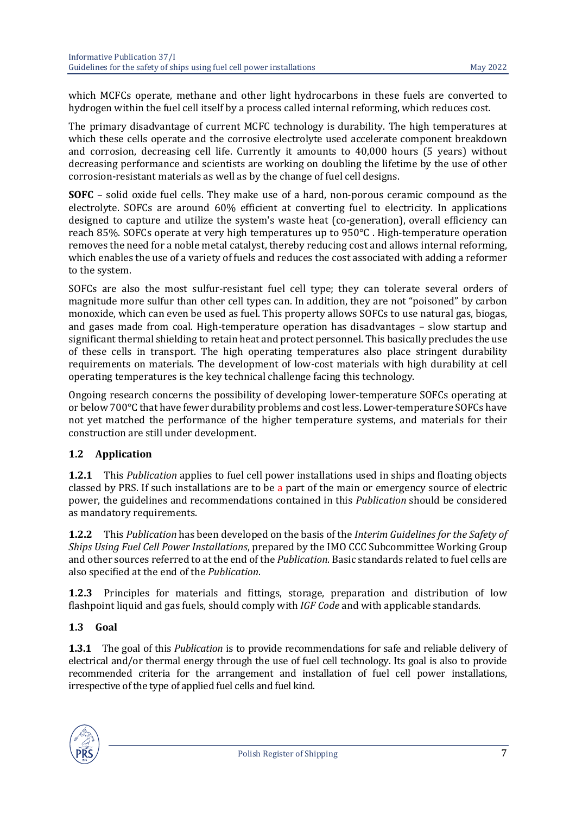which MCFCs operate, methane and other light hydrocarbons in these fuels are converted to hydrogen within the fuel cell itself by a process called internal reforming, which reduces cost.

The primary disadvantage of current MCFC technology is durability. The high temperatures at which these cells operate and the corrosive electrolyte used accelerate component breakdown and corrosion, decreasing cell life. Currently it amounts to 40,000 hours (5 years) without decreasing performance and scientists are working on doubling the lifetime by the use of other corrosion-resistant materials as well as by the change of fuel cell designs.

**SOFC** – solid oxide fuel cells. They make use of a hard, non-porous ceramic compound as the electrolyte. SOFCs are around 60% efficient at converting fuel to electricity. In applications designed to capture and utilize the system's waste heat (co-generation), overall efficiency can reach 85%. SOFCs operate at very high temperatures up to 950°C . High-temperature operation removes the need for a noble metal catalyst, thereby reducing cost and allows internal reforming, which enables the use of a variety of fuels and reduces the cost associated with adding a reformer to the system.

SOFCs are also the most sulfur-resistant fuel cell type; they can tolerate several orders of magnitude more sulfur than other cell types can. In addition, they are not "poisoned" by carbon monoxide, which can even be used as fuel. This property allows SOFCs to use natural gas, biogas, and gases made from coal. High-temperature operation has disadvantages – slow startup and significant thermal shielding to retain heat and protect personnel. This basically precludes the use of these cells in transport. The high operating temperatures also place stringent durability requirements on materials. The development of low-cost materials with high durability at cell operating temperatures is the key technical challenge facing this technology.

Ongoing research concerns the possibility of developing lower-temperature SOFCs operating at or below 700°C that have fewer durability problems and cost less. Lower-temperature SOFCs have not yet matched the performance of the higher temperature systems, and materials for their construction are still under development.

### <span id="page-6-0"></span>**1.2 Application**

**1.2.1** This *Publication* applies to fuel cell power installations used in ships and floating objects classed by PRS. If such installations are to be a part of the main or emergency source of electric power, the guidelines and recommendations contained in this *Publication* should be considered as mandatory requirements.

**1.2.2** This *Publication* has been developed on the basis of the *Interim Guidelines for the Safety of Ships Using Fuel Cell Power Installations*, prepared by the IMO CCC Subcommittee Working Group and other sources referred to at the end of the *Publication*. Basic standards related to fuel cells are also specified at the end of the *Publication*.

**1.2.3** Principles for materials and fittings, storage, preparation and distribution of low flashpoint liquid and gas fuels, should comply with *IGF Code* and with applicable standards.

#### <span id="page-6-1"></span>**1.3 Goal**

**1.3.1** The goal of this *Publication* is to provide recommendations for safe and reliable delivery of electrical and/or thermal energy through the use of fuel cell technology. Its goal is also to provide recommended criteria for the arrangement and installation of fuel cell power installations, irrespective of the type of applied fuel cells and fuel kind.

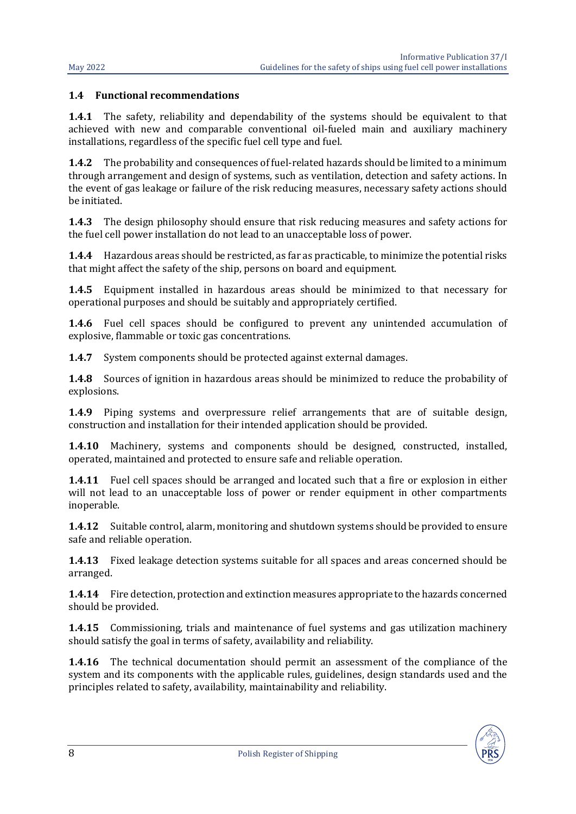#### <span id="page-7-0"></span>**1.4 Functional recommendations**

**1.4.1** The safety, reliability and dependability of the systems should be equivalent to that achieved with new and comparable conventional oil-fueled main and auxiliary machinery installations, regardless of the specific fuel cell type and fuel.

**1.4.2** The probability and consequences of fuel-related hazards should be limited to a minimum through arrangement and design of systems, such as ventilation, detection and safety actions. In the event of gas leakage or failure of the risk reducing measures, necessary safety actions should be initiated.

**1.4.3** The design philosophy should ensure that risk reducing measures and safety actions for the fuel cell power installation do not lead to an unacceptable loss of power.

**1.4.4** Hazardous areas should be restricted, as far as practicable, to minimize the potential risks that might affect the safety of the ship, persons on board and equipment.

**1.4.5** Equipment installed in hazardous areas should be minimized to that necessary for operational purposes and should be suitably and appropriately certified.

**1.4.6** Fuel cell spaces should be configured to prevent any unintended accumulation of explosive, flammable or toxic gas concentrations.

**1.4.7** System components should be protected against external damages.

**1.4.8** Sources of ignition in hazardous areas should be minimized to reduce the probability of explosions.

**1.4.9** Piping systems and overpressure relief arrangements that are of suitable design, construction and installation for their intended application should be provided.

**1.4.10** Machinery, systems and components should be designed, constructed, installed, operated, maintained and protected to ensure safe and reliable operation.

**1.4.11** Fuel cell spaces should be arranged and located such that a fire or explosion in either will not lead to an unacceptable loss of power or render equipment in other compartments inoperable.

**1.4.12** Suitable control, alarm, monitoring and shutdown systems should be provided to ensure safe and reliable operation.

**1.4.13** Fixed leakage detection systems suitable for all spaces and areas concerned should be arranged.

**1.4.14** Fire detection, protection and extinction measures appropriate to the hazards concerned should be provided.

**1.4.15** Commissioning, trials and maintenance of fuel systems and gas utilization machinery should satisfy the goal in terms of safety, availability and reliability.

**1.4.16** The technical documentation should permit an assessment of the compliance of the system and its components with the applicable rules, guidelines, design standards used and the principles related to safety, availability, maintainability and reliability.

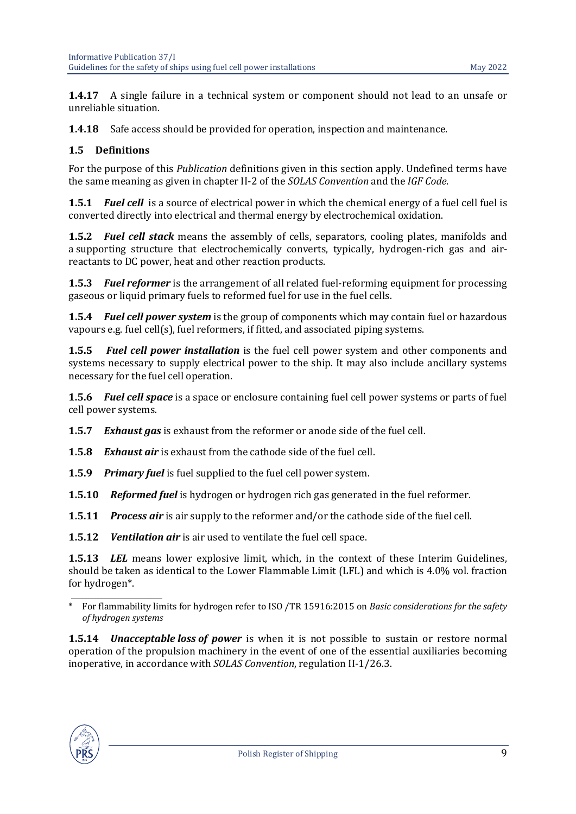**1.4.17** A single failure in a technical system or component should not lead to an unsafe or unreliable situation.

**1.4.18** Safe access should be provided for operation, inspection and maintenance.

#### <span id="page-8-0"></span>**1.5 Definitions**

For the purpose of this *Publication* definitions given in this section apply. Undefined terms have the same meaning as given in chapter II-2 of the *SOLAS Convention* and the *IGF Code*.

**1.5.1** *Fuel cell* is a source of electrical power in which the chemical energy of a fuel cell fuel is converted directly into electrical and thermal energy by electrochemical oxidation.

**1.5.2** *Fuel cell stack* means the assembly of cells, separators, cooling plates, manifolds and a supporting structure that electrochemically converts, typically, hydrogen-rich gas and airreactants to DC power, heat and other reaction products.

**1.5.3** *Fuel reformer* is the arrangement of all related fuel-reforming equipment for processing gaseous or liquid primary fuels to reformed fuel for use in the fuel cells.

**1.5.4** *Fuel cell power system* is the group of components which may contain fuel or hazardous vapours e.g. fuel cell(s), fuel reformers, if fitted, and associated piping systems.

**1.5.5** *Fuel cell power installation* is the fuel cell power system and other components and systems necessary to supply electrical power to the ship. It may also include ancillary systems necessary for the fuel cell operation.

**1.5.6** *Fuel cell space* is a space or enclosure containing fuel cell power systems or parts of fuel cell power systems.

**1.5.7** *Exhaust gas* is exhaust from the reformer or anode side of the fuel cell.

**1.5.8** *Exhaust air* is exhaust from the cathode side of the fuel cell.

**1.5.9** *Primary fuel* is fuel supplied to the fuel cell power system.

**1.5.10** *Reformed fuel* is hydrogen or hydrogen rich gas generated in the fuel reformer.

**1.5.11** *Process air* is air supply to the reformer and/or the cathode side of the fuel cell.

**1.5.12** *Ventilation air* is air used to ventilate the fuel cell space.

**1.5.13** *LEL* means lower explosive limit, which, in the context of these Interim Guidelines, should be taken as identical to the Lower Flammable Limit (LFL) and which is 4.0% vol. fraction for hydrogen\*.

**1.5.14** *Unacceptable loss of power* is when it is not possible to sustain or restore normal operation of the propulsion machinery in the event of one of the essential auxiliaries becoming inoperative, in accordance with *SOLAS Convention*, regulation II-1/26.3.



\_\_\_\_\_\_\_\_\_\_\_\_\_\_\_\_\_\_\_\_\_\_\_\_\_\_\_\_ \* For flammability limits for hydrogen refer to ISO /TR 15916:2015 on *Basic considerations for the safety of hydrogen systems*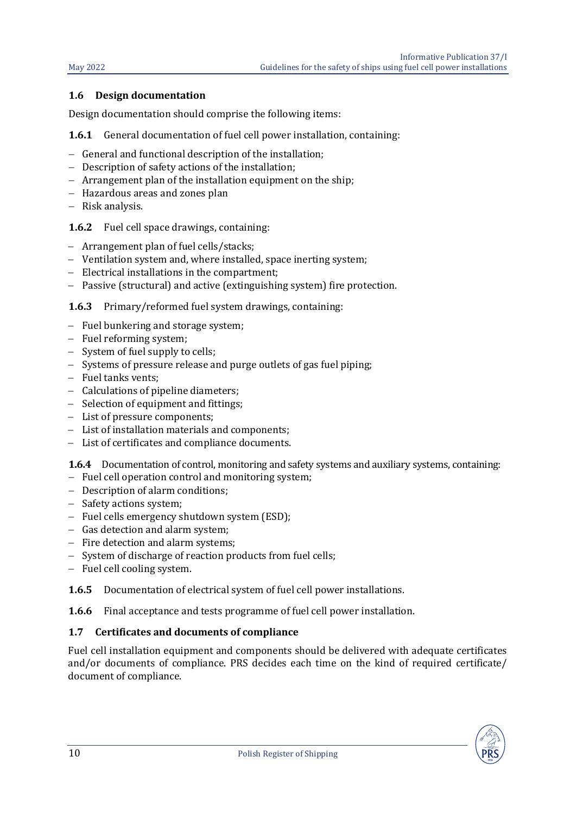#### <span id="page-9-0"></span>**1.6 Design documentation**

Design documentation should comprise the following items:

**1.6.1** General documentation of fuel cell power installation, containing:

- − General and functional description of the installation;
- − Description of safety actions of the installation;
- − Arrangement plan of the installation equipment on the ship;
- − Hazardous areas and zones plan
- − Risk analysis.

**1.6.2** Fuel cell space drawings, containing:

- − Arrangement plan of fuel cells/stacks;
- − Ventilation system and, where installed, space inerting system;
- − Electrical installations in the compartment;
- − Passive (structural) and active (extinguishing system) fire protection.

**1.6.3** Primary/reformed fuel system drawings, containing:

- − Fuel bunkering and storage system;
- − Fuel reforming system;
- − System of fuel supply to cells;
- − Systems of pressure release and purge outlets of gas fuel piping;
- − Fuel tanks vents;
- − Calculations of pipeline diameters;
- − Selection of equipment and fittings;
- − List of pressure components;
- − List of installation materials and components;
- − List of certificates and compliance documents.

**1.6.4** Documentation of control, monitoring and safety systems and auxiliary systems, containing:

- − Fuel cell operation control and monitoring system;
- − Description of alarm conditions;
- − Safety actions system;
- − Fuel cells emergency shutdown system (ESD);
- − Gas detection and alarm system;
- − Fire detection and alarm systems;
- − System of discharge of reaction products from fuel cells;
- − Fuel cell cooling system.

**1.6.5** Documentation of electrical system of fuel cell power installations.

<span id="page-9-1"></span>**1.6.6** Final acceptance and tests programme of fuel cell power installation.

#### **1.7 Certificates and documents of compliance**

Fuel cell installation equipment and components should be delivered with adequate certificates and/or documents of compliance. PRS decides each time on the kind of required certificate/ document of compliance.

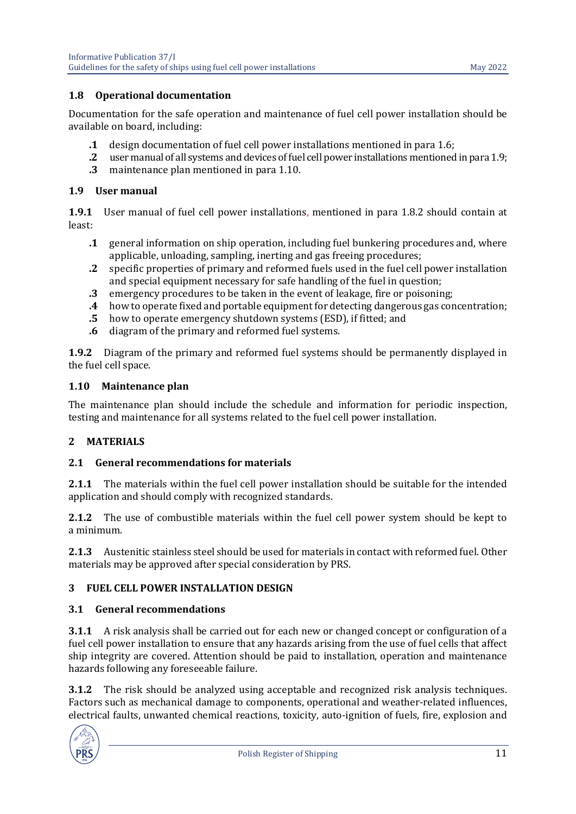#### <span id="page-10-0"></span>**1.8 Operational documentation**

Documentation for the safe operation and maintenance of fuel cell power installation should be available on board, including:

- **1** design documentation of fuel cell power installations mentioned in para 1.6;<br>**2** user manual of all systems and devices of fuel cell power installations mentioned
- **2** user manual of all systems and devices of fuel cell power installations mentioned in para 1.9;<br>3 maintenance plan mentioned in para 1.10.
- **.3** maintenance plan mentioned in para 1.10.

#### <span id="page-10-1"></span>**1.9 User manual**

**1.9.1** User manual of fuel cell power installations, mentioned in para 1.8.2 should contain at least:

- **.1** general information on ship operation, including fuel bunkering procedures and, where applicable, unloading, sampling, inerting and gas freeing procedures;
- **.2** specific properties of primary and reformed fuels used in the fuel cell power installation and special equipment necessary for safe handling of the fuel in question;
- **.3** emergency procedures to be taken in the event of leakage, fire or poisoning;
- **4** how to operate fixed and portable equipment for detecting dangerous gas concentration;<br>**5** how to operate emergency shutdown systems (ESD), if fitted; and
- **.5** how to operate emergency shutdown systems (ESD), if fitted; and **.6** diagram of the primary and reformed fuel systems.
- **.6** diagram of the primary and reformed fuel systems.

**1.9.2** Diagram of the primary and reformed fuel systems should be permanently displayed in the fuel cell space.

#### <span id="page-10-2"></span>**1.10 Maintenance plan**

The maintenance plan should include the schedule and information for periodic inspection, testing and maintenance for all systems related to the fuel cell power installation.

#### <span id="page-10-3"></span>**2 MATERIALS**

#### <span id="page-10-4"></span>**2.1 General recommendations for materials**

**2.1.1** The materials within the fuel cell power installation should be suitable for the intended application and should comply with recognized standards.

**2.1.2** The use of combustible materials within the fuel cell power system should be kept to a minimum.

**2.1.3** Austenitic stainless steel should be used for materials in contact with reformed fuel. Other materials may be approved after special consideration by PRS.

#### <span id="page-10-6"></span><span id="page-10-5"></span>**3 FUEL CELL POWER INSTALLATION DESIGN**

#### **3.1 General recommendations**

**3.1.1** A risk analysis shall be carried out for each new or changed concept or configuration of a fuel cell power installation to ensure that any hazards arising from the use of fuel cells that affect ship integrity are covered. Attention should be paid to installation, operation and maintenance hazards following any foreseeable failure.

**3.1.2** The risk should be analyzed using acceptable and recognized risk analysis techniques. Factors such as mechanical damage to components, operational and weather-related influences, electrical faults, unwanted chemical reactions, toxicity, auto-ignition of fuels, fire, explosion and

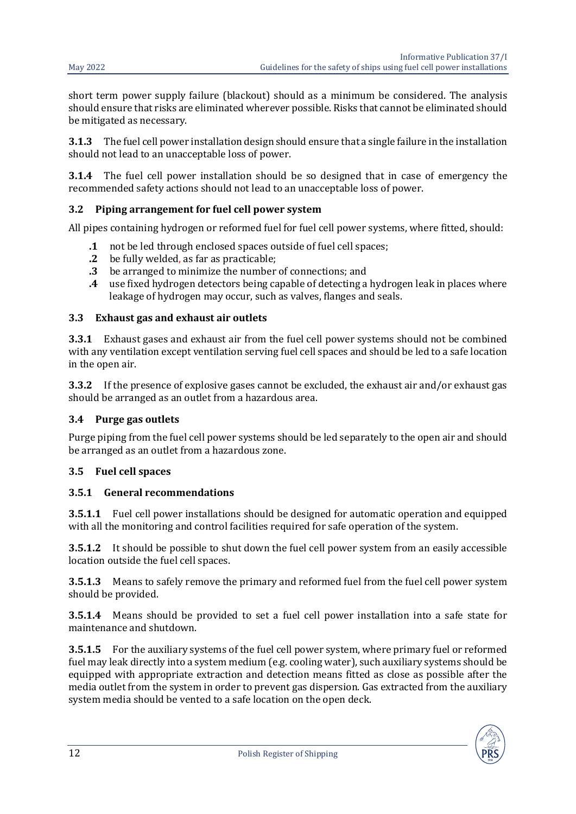short term power supply failure (blackout) should as a minimum be considered. The analysis should ensure that risks are eliminated wherever possible. Risks that cannot be eliminated should be mitigated as necessary.

**3.1.3** The fuel cell power installation design should ensure that a single failure in the installation should not lead to an unacceptable loss of power.

**3.1.4** The fuel cell power installation should be so designed that in case of emergency the recommended safety actions should not lead to an unacceptable loss of power.

#### <span id="page-11-0"></span>**3.2 Piping arrangement for fuel cell power system**

All pipes containing hydrogen or reformed fuel for fuel cell power systems, where fitted, should:

- **.1** not be led through enclosed spaces outside of fuel cell spaces;
- **.2** be fully welded, as far as practicable;
- **.3** be arranged to minimize the number of connections; and
- **.4** use fixed hydrogen detectors being capable of detecting a hydrogen leak in places where leakage of hydrogen may occur, such as valves, flanges and seals.

#### <span id="page-11-1"></span>**3.3 Exhaust gas and exhaust air outlets**

**3.3.1** Exhaust gases and exhaust air from the fuel cell power systems should not be combined with any ventilation except ventilation serving fuel cell spaces and should be led to a safe location in the open air.

**3.3.2** If the presence of explosive gases cannot be excluded, the exhaust air and/or exhaust gas should be arranged as an outlet from a hazardous area.

#### <span id="page-11-2"></span>**3.4 Purge gas outlets**

Purge piping from the fuel cell power systems should be led separately to the open air and should be arranged as an outlet from a hazardous zone.

#### <span id="page-11-3"></span>**3.5 Fuel cell spaces**

#### **3.5.1 General recommendations**

**3.5.1.1** Fuel cell power installations should be designed for automatic operation and equipped with all the monitoring and control facilities required for safe operation of the system.

**3.5.1.2** It should be possible to shut down the fuel cell power system from an easily accessible location outside the fuel cell spaces.

**3.5.1.3** Means to safely remove the primary and reformed fuel from the fuel cell power system should be provided.

**3.5.1.4** Means should be provided to set a fuel cell power installation into a safe state for maintenance and shutdown.

**3.5.1.5** For the auxiliary systems of the fuel cell power system, where primary fuel or reformed fuel may leak directly into a system medium (e.g. cooling water), such auxiliary systems should be equipped with appropriate extraction and detection means fitted as close as possible after the media outlet from the system in order to prevent gas dispersion. Gas extracted from the auxiliary system media should be vented to a safe location on the open deck.

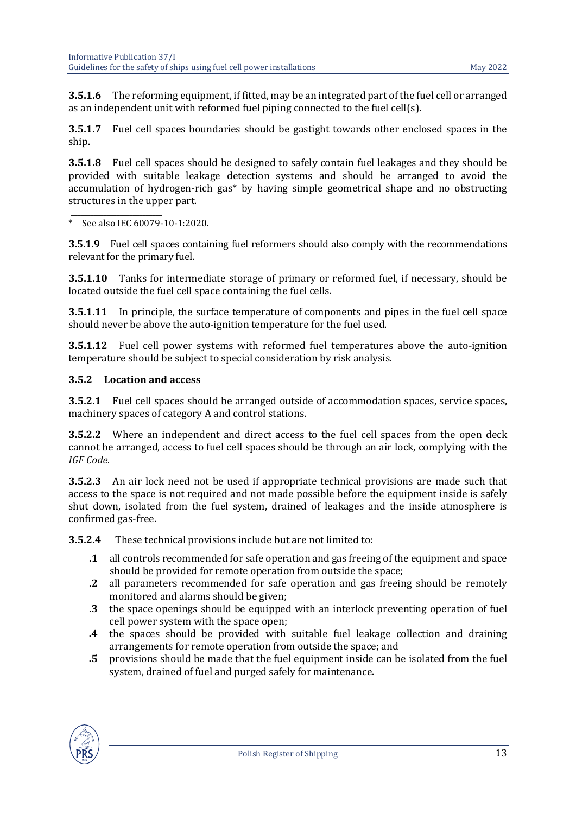**3.5.1.6** The reforming equipment, if fitted, may be an integrated part of the fuel cell or arranged as an independent unit with reformed fuel piping connected to the fuel cell(s).

**3.5.1.7** Fuel cell spaces boundaries should be gastight towards other enclosed spaces in the ship.

**3.5.1.8** Fuel cell spaces should be designed to safely contain fuel leakages and they should be provided with suitable leakage detection systems and should be arranged to avoid the accumulation of hydrogen-rich gas\* by having simple geometrical shape and no obstructing structures in the upper part.

\_\_\_\_\_\_\_\_\_\_\_\_\_\_\_\_\_\_\_\_\_\_\_\_\_\_\_\_  $*$  See also IEC 60079-10-1:2020.

**3.5.1.9** Fuel cell spaces containing fuel reformers should also comply with the recommendations relevant for the primary fuel.

**3.5.1.10** Tanks for intermediate storage of primary or reformed fuel, if necessary, should be located outside the fuel cell space containing the fuel cells.

**3.5.1.11** In principle, the surface temperature of components and pipes in the fuel cell space should never be above the auto-ignition temperature for the fuel used.

**3.5.1.12** Fuel cell power systems with reformed fuel temperatures above the auto-ignition temperature should be subject to special consideration by risk analysis.

#### **3.5.2 Location and access**

**3.5.2.1** Fuel cell spaces should be arranged outside of accommodation spaces, service spaces, machinery spaces of category A and control stations.

**3.5.2.2** Where an independent and direct access to the fuel cell spaces from the open deck cannot be arranged, access to fuel cell spaces should be through an air lock, complying with the *IGF Code*.

**3.5.2.3** An air lock need not be used if appropriate technical provisions are made such that access to the space is not required and not made possible before the equipment inside is safely shut down, isolated from the fuel system, drained of leakages and the inside atmosphere is confirmed gas-free.

**3.5.2.4** These technical provisions include but are not limited to:

- **.1** all controls recommended for safe operation and gas freeing of the equipment and space should be provided for remote operation from outside the space;
- **.2** all parameters recommended for safe operation and gas freeing should be remotely monitored and alarms should be given;
- **.3** the space openings should be equipped with an interlock preventing operation of fuel cell power system with the space open;
- **.4** the spaces should be provided with suitable fuel leakage collection and draining arrangements for remote operation from outside the space; and
- **.5** provisions should be made that the fuel equipment inside can be isolated from the fuel system, drained of fuel and purged safely for maintenance.

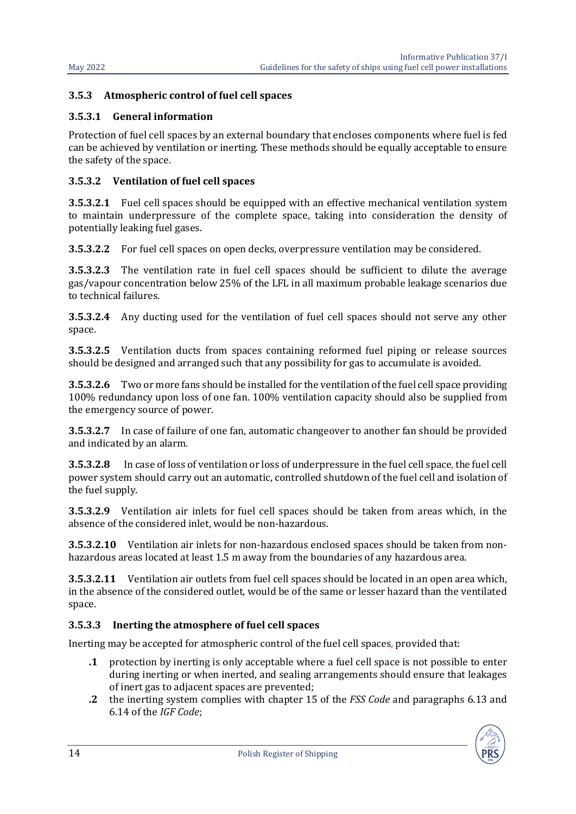#### **3.5.3 Atmospheric control of fuel cell spaces**

#### **3.5.3.1 General information**

Protection of fuel cell spaces by an external boundary that encloses components where fuel is fed can be achieved by ventilation or inerting. These methods should be equally acceptable to ensure the safety of the space.

#### **3.5.3.2 Ventilation of fuel cell spaces**

**3.5.3.2.1** Fuel cell spaces should be equipped with an effective mechanical ventilation system to maintain underpressure of the complete space, taking into consideration the density of potentially leaking fuel gases.

**3.5.3.2.2** For fuel cell spaces on open decks, overpressure ventilation may be considered.

**3.5.3.2.3** The ventilation rate in fuel cell spaces should be sufficient to dilute the average gas/vapour concentration below 25% of the LFL in all maximum probable leakage scenarios due to technical failures.

**3.5.3.2.4** Any ducting used for the ventilation of fuel cell spaces should not serve any other space.

**3.5.3.2.5** Ventilation ducts from spaces containing reformed fuel piping or release sources should be designed and arranged such that any possibility for gas to accumulate is avoided.

**3.5.3.2.6** Two or more fans should be installed for the ventilation of the fuel cell space providing 100% redundancy upon loss of one fan. 100% ventilation capacity should also be supplied from the emergency source of power.

**3.5.3.2.7** In case of failure of one fan, automatic changeover to another fan should be provided and indicated by an alarm.

**3.5.3.2.8** In case of loss of ventilation or loss of underpressure in the fuel cell space, the fuel cell power system should carry out an automatic, controlled shutdown of the fuel cell and isolation of the fuel supply.

**3.5.3.2.9** Ventilation air inlets for fuel cell spaces should be taken from areas which, in the absence of the considered inlet, would be non-hazardous.

**3.5.3.2.10** Ventilation air inlets for non-hazardous enclosed spaces should be taken from nonhazardous areas located at least 1.5 m away from the boundaries of any hazardous area.

**3.5.3.2.11** Ventilation air outlets from fuel cell spaces should be located in an open area which, in the absence of the considered outlet, would be of the same or lesser hazard than the ventilated space.

#### **3.5.3.3 Inerting the atmosphere of fuel cell spaces**

Inerting may be accepted for atmospheric control of the fuel cell spaces, provided that:

- **.1** protection by inerting is only acceptable where a fuel cell space is not possible to enter during inerting or when inerted, and sealing arrangements should ensure that leakages of inert gas to adjacent spaces are prevented;
- **.2** the inerting system complies with chapter 15 of the *FSS Code* and paragraphs 6.13 and 6.14 of the *IGF Code*;

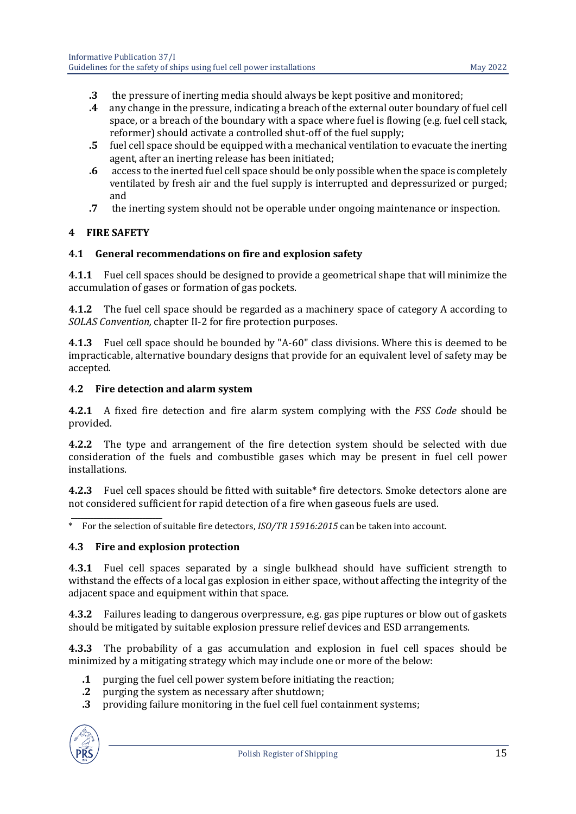- **.3** the pressure of inerting media should always be kept positive and monitored;<br>**4** any change in the pressure, indicating a breach of the external outer boundary on
- **.4** any change in the pressure, indicating a breach of the external outer boundary of fuel cell space, or a breach of the boundary with a space where fuel is flowing (e.g. fuel cell stack, reformer) should activate a controlled shut-off of the fuel supply;
- **.5** fuel cell space should be equipped with a mechanical ventilation to evacuate the inerting agent, after an inerting release has been initiated;
- **.6** access to the inerted fuel cell space should be only possible when the space is completely ventilated by fresh air and the fuel supply is interrupted and depressurized or purged; and
- **.7** the inerting system should not be operable under ongoing maintenance or inspection.

#### <span id="page-14-0"></span>**4 FIRE SAFETY**

#### <span id="page-14-1"></span>**4.1 General recommendations on fire and explosion safety**

**4.1.1** Fuel cell spaces should be designed to provide a geometrical shape that will minimize the accumulation of gases or formation of gas pockets.

**4.1.2** The fuel cell space should be regarded as a machinery space of category A according to *SOLAS Convention,* chapter II-2 for fire protection purposes.

**4.1.3** Fuel cell space should be bounded by "A-60" class divisions. Where this is deemed to be impracticable, alternative boundary designs that provide for an equivalent level of safety may be accepted.

#### <span id="page-14-2"></span>**4.2 Fire detection and alarm system**

**4.2.1** A fixed fire detection and fire alarm system complying with the *FSS Code* should be provided.

**4.2.2** The type and arrangement of the fire detection system should be selected with due consideration of the fuels and combustible gases which may be present in fuel cell power installations.

**4.2.3** Fuel cell spaces should be fitted with suitable\* fire detectors. Smoke detectors alone are not considered sufficient for rapid detection of a fire when gaseous fuels are used.

\_\_\_\_\_\_\_\_\_\_\_\_\_\_\_\_\_\_\_\_\_\_\_\_\_\_\_\_ \* For the selection of suitable fire detectors, *ISO/TR 15916:2015* can be taken into account.

#### <span id="page-14-3"></span>**4.3 Fire and explosion protection**

**4.3.1** Fuel cell spaces separated by a single bulkhead should have sufficient strength to withstand the effects of a local gas explosion in either space, without affecting the integrity of the adjacent space and equipment within that space.

**4.3.2** Failures leading to dangerous overpressure, e.g. gas pipe ruptures or blow out of gaskets should be mitigated by suitable explosion pressure relief devices and ESD arrangements.

**4.3.3** The probability of a gas accumulation and explosion in fuel cell spaces should be minimized by a mitigating strategy which may include one or more of the below:

- **.1** purging the fuel cell power system before initiating the reaction;
- **.2** purging the system as necessary after shutdown;
- **.3** providing failure monitoring in the fuel cell fuel containment systems;

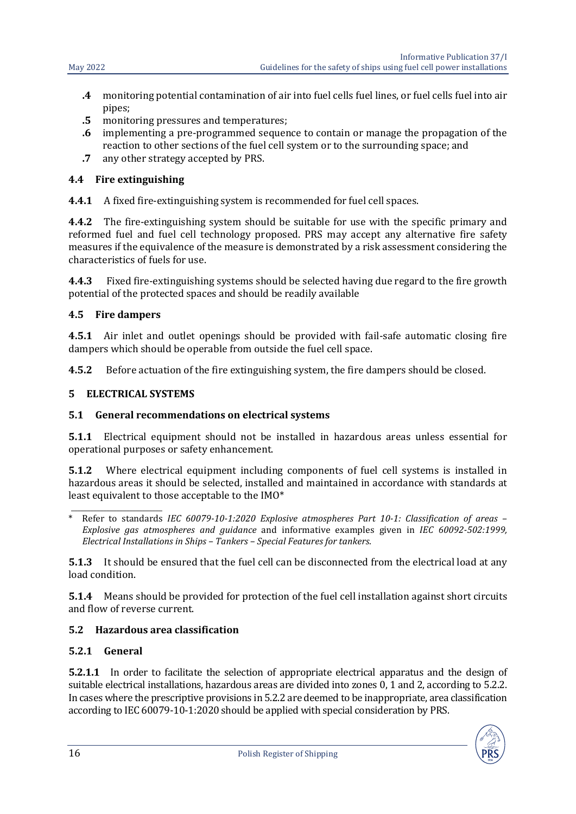- **.4** monitoring potential contamination of air into fuel cells fuel lines, or fuel cells fuel into air pipes;
- **.5** monitoring pressures and temperatures;
- **.6** implementing a pre-programmed sequence to contain or manage the propagation of the reaction to other sections of the fuel cell system or to the surrounding space; and
- **.7** any other strategy accepted by PRS.

#### <span id="page-15-0"></span>**4.4 Fire extinguishing**

**4.4.1** A fixed fire-extinguishing system is recommended for fuel cell spaces.

**4.4.2** The fire-extinguishing system should be suitable for use with the specific primary and reformed fuel and fuel cell technology proposed. PRS may accept any alternative fire safety measures if the equivalence of the measure is demonstrated by a risk assessment considering the characteristics of fuels for use.

**4.4.3** Fixed fire-extinguishing systems should be selected having due regard to the fire growth potential of the protected spaces and should be readily available

#### <span id="page-15-1"></span>**4.5 Fire dampers**

**4.5.1** Air inlet and outlet openings should be provided with fail-safe automatic closing fire dampers which should be operable from outside the fuel cell space.

<span id="page-15-2"></span>**4.5.2** Before actuation of the fire extinguishing system, the fire dampers should be closed.

#### **5 ELECTRICAL SYSTEMS**

### <span id="page-15-3"></span>**5.1 General recommendations on electrical systems**

**5.1.1** Electrical equipment should not be installed in hazardous areas unless essential for operational purposes or safety enhancement.

**5.1.2** Where electrical equipment including components of fuel cell systems is installed in hazardous areas it should be selected, installed and maintained in accordance with standards at least equivalent to those acceptable to the IMO\*

**5.1.3** It should be ensured that the fuel cell can be disconnected from the electrical load at any load condition.

**5.1.4** Means should be provided for protection of the fuel cell installation against short circuits and flow of reverse current.

#### <span id="page-15-4"></span>**5.2 Hazardous area classification**

#### **5.2.1 General**

**5.2.1.1** In order to facilitate the selection of appropriate electrical apparatus and the design of suitable electrical installations, hazardous areas are divided into zones 0, 1 and 2, according to 5.2.2. In cases where the prescriptive provisions in 5.2.2 are deemed to be inappropriate, area classification according to IEC 60079-10-1:2020 should be applied with special consideration by PRS.



\_\_\_\_\_\_\_\_\_\_\_\_\_\_\_\_\_\_\_\_\_\_\_\_\_\_\_\_ \* Refer to standards *IEC 60079-10-1:2020 Explosive atmospheres Part 10-1: Classification of areas – Explosive gas atmospheres and guidance* and informative examples given in *IEC 60092-502:1999, Electrical Installations in Ships – Tankers – Special Features for tankers*.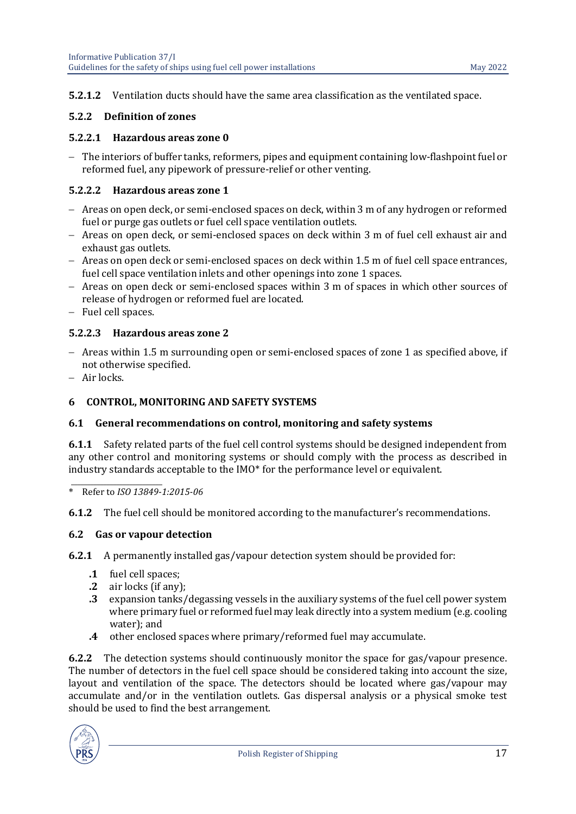#### **5.2.1.2** Ventilation ducts should have the same area classification as the ventilated space.

#### **5.2.2 Definition of zones**

#### **5.2.2.1 Hazardous areas zone 0**

− The interiors of buffer tanks, reformers, pipes and equipment containing low-flashpoint fuel or reformed fuel, any pipework of pressure-relief or other venting.

#### **5.2.2.2 Hazardous areas zone 1**

- − Areas on open deck, or semi-enclosed spaces on deck, within 3 m of any hydrogen or reformed fuel or purge gas outlets or fuel cell space ventilation outlets.
- − Areas on open deck, or semi-enclosed spaces on deck within 3 m of fuel cell exhaust air and exhaust gas outlets.
- − Areas on open deck or semi-enclosed spaces on deck within 1.5 m of fuel cell space entrances, fuel cell space ventilation inlets and other openings into zone 1 spaces.
- − Areas on open deck or semi-enclosed spaces within 3 m of spaces in which other sources of release of hydrogen or reformed fuel are located.
- − Fuel cell spaces.

#### **5.2.2.3 Hazardous areas zone 2**

- − Areas within 1.5 m surrounding open or semi-enclosed spaces of zone 1 as specified above, if not otherwise specified.
- <span id="page-16-0"></span>− Air locks.

#### **6 CONTROL, MONITORING AND SAFETY SYSTEMS**

#### <span id="page-16-1"></span>**6.1 General recommendations on control, monitoring and safety systems**

**6.1.1** Safety related parts of the fuel cell control systems should be designed independent from any other control and monitoring systems or should comply with the process as described in industry standards acceptable to the IMO\* for the performance level or equivalent.

\_\_\_\_\_\_\_\_\_\_\_\_\_\_\_\_\_\_\_\_\_\_\_\_\_\_\_\_ \* Refer to *ISO 13849-1:2015-06*

<span id="page-16-2"></span>**6.1.2** The fuel cell should be monitored according to the manufacturer's recommendations.

#### **6.2 Gas or vapour detection**

**6.2.1** A permanently installed gas/vapour detection system should be provided for:

- **.1** fuel cell spaces;<br>**.2** air locks (if any)
- **.2** air locks (if any);<br>**.3** expansion tanks/
- **.3** expansion tanks/degassing vessels in the auxiliary systems of the fuel cell power system where primary fuel or reformed fuel may leak directly into a system medium (e.g. cooling water); and
- **.4** other enclosed spaces where primary/reformed fuel may accumulate.

**6.2.2** The detection systems should continuously monitor the space for gas/vapour presence. The number of detectors in the fuel cell space should be considered taking into account the size, layout and ventilation of the space. The detectors should be located where gas/vapour may accumulate and/or in the ventilation outlets. Gas dispersal analysis or a physical smoke test should be used to find the best arrangement.

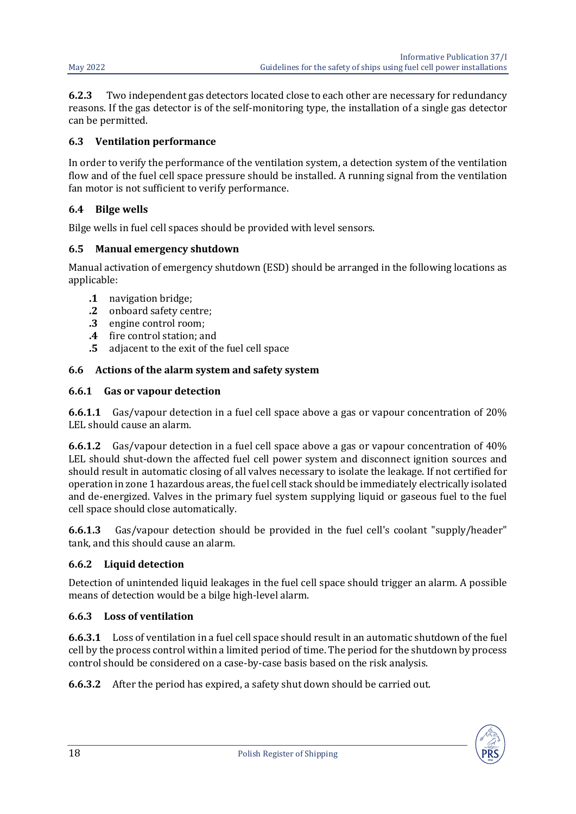**6.2.3** Two independent gas detectors located close to each other are necessary for redundancy reasons. If the gas detector is of the self-monitoring type, the installation of a single gas detector can be permitted.

#### <span id="page-17-0"></span>**6.3 Ventilation performance**

In order to verify the performance of the ventilation system, a detection system of the ventilation flow and of the fuel cell space pressure should be installed. A running signal from the ventilation fan motor is not sufficient to verify performance.

#### <span id="page-17-1"></span>**6.4 Bilge wells**

Bilge wells in fuel cell spaces should be provided with level sensors.

#### <span id="page-17-2"></span>**6.5 Manual emergency shutdown**

Manual activation of emergency shutdown (ESD) should be arranged in the following locations as applicable:

- **.1** navigation bridge;
- **.2** onboard safety centre;<br>**.3** engine control room;
- **.3** engine control room;<br>**.4** fire control station; an
- 
- **.4** fire control station; and<br>**.5** adjacent to the exit of th **.5** adjacent to the exit of the fuel cell space

#### <span id="page-17-3"></span>**6.6 Actions of the alarm system and safety system**

#### **6.6.1 Gas or vapour detection**

**6.6.1.1** Gas/vapour detection in a fuel cell space above a gas or vapour concentration of 20% LEL should cause an alarm.

**6.6.1.2** Gas/vapour detection in a fuel cell space above a gas or vapour concentration of 40% LEL should shut-down the affected fuel cell power system and disconnect ignition sources and should result in automatic closing of all valves necessary to isolate the leakage. If not certified for operation in zone 1 hazardous areas, the fuel cell stack should be immediately electrically isolated and de-energized. Valves in the primary fuel system supplying liquid or gaseous fuel to the fuel cell space should close automatically.

**6.6.1.3** Gas/vapour detection should be provided in the fuel cell's coolant "supply/header" tank, and this should cause an alarm.

### **6.6.2 Liquid detection**

Detection of unintended liquid leakages in the fuel cell space should trigger an alarm. A possible means of detection would be a bilge high-level alarm.

### **6.6.3 Loss of ventilation**

**6.6.3.1** Loss of ventilation in a fuel cell space should result in an automatic shutdown of the fuel cell by the process control within a limited period of time. The period for the shutdown by process control should be considered on a case-by-case basis based on the risk analysis.

**6.6.3.2** After the period has expired, a safety shut down should be carried out.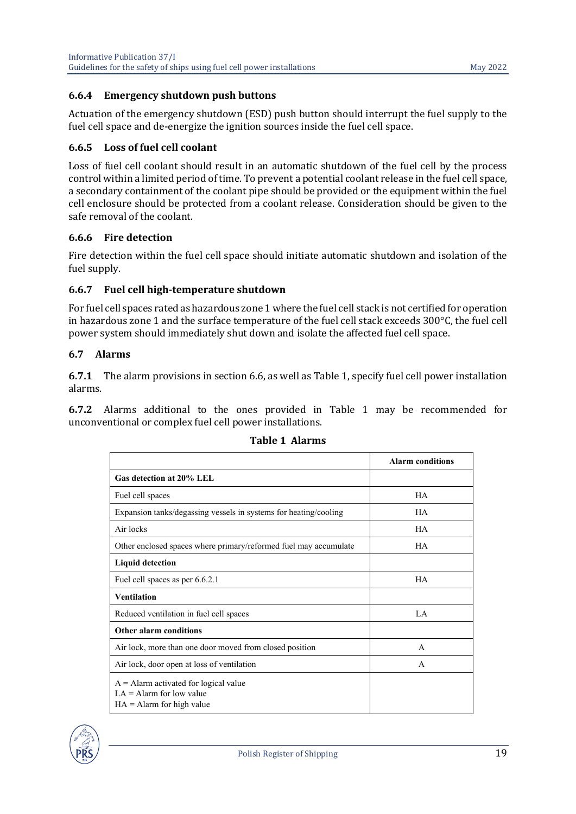#### **6.6.4 Emergency shutdown push buttons**

Actuation of the emergency shutdown (ESD) push button should interrupt the fuel supply to the fuel cell space and de-energize the ignition sources inside the fuel cell space.

#### **6.6.5 Loss of fuel cell coolant**

Loss of fuel cell coolant should result in an automatic shutdown of the fuel cell by the process control within a limited period of time. To prevent a potential coolant release in the fuel cell space, a secondary containment of the coolant pipe should be provided or the equipment within the fuel cell enclosure should be protected from a coolant release. Consideration should be given to the safe removal of the coolant.

#### **6.6.6 Fire detection**

Fire detection within the fuel cell space should initiate automatic shutdown and isolation of the fuel supply.

#### **6.6.7 Fuel cell high-temperature shutdown**

For fuel cell spaces rated as hazardous zone 1 where the fuel cell stack is not certified for operation in hazardous zone 1 and the surface temperature of the fuel cell stack exceeds 300°C, the fuel cell power system should immediately shut down and isolate the affected fuel cell space.

#### <span id="page-18-0"></span>**6.7 Alarms**

**6.7.1** The alarm provisions in section 6.6, as well as Table 1, specify fuel cell power installation alarms.

**6.7.2** Alarms additional to the ones provided in Table 1 may be recommended for unconventional or complex fuel cell power installations.

|                                                                                                      | <b>Alarm conditions</b> |
|------------------------------------------------------------------------------------------------------|-------------------------|
| Gas detection at 20% LEL                                                                             |                         |
| Fuel cell spaces                                                                                     | <b>HA</b>               |
| Expansion tanks/degassing vessels in systems for heating/cooling                                     | HA                      |
| Air locks                                                                                            | <b>HA</b>               |
| Other enclosed spaces where primary/reformed fuel may accumulate                                     | HA                      |
| <b>Liquid detection</b>                                                                              |                         |
| Fuel cell spaces as per 6.6.2.1                                                                      | <b>HA</b>               |
| <b>Ventilation</b>                                                                                   |                         |
| Reduced ventilation in fuel cell spaces                                                              | LA                      |
| <b>Other alarm conditions</b>                                                                        |                         |
| Air lock, more than one door moved from closed position                                              | A                       |
| Air lock, door open at loss of ventilation                                                           | A                       |
| $A =$ Alarm activated for logical value<br>$LA =$ Alarm for low value<br>$HA =$ Alarm for high value |                         |

#### **Table 1 Alarms**

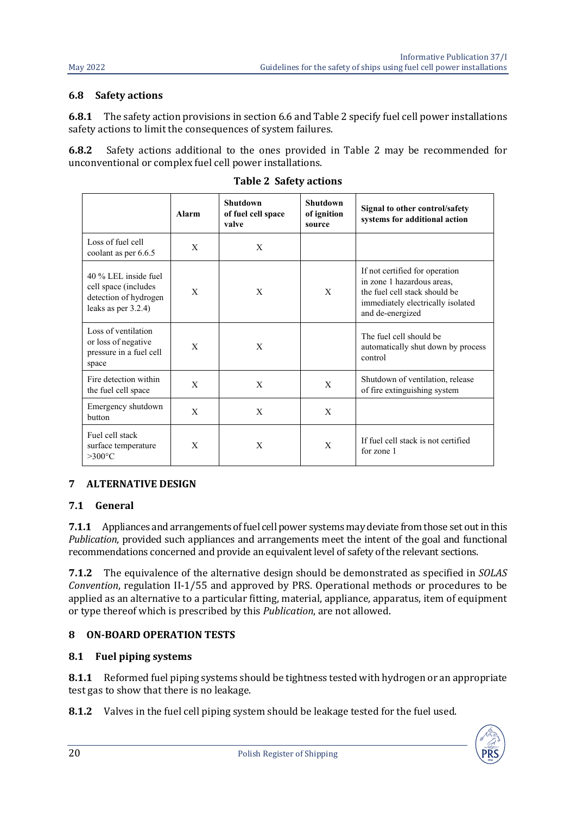#### <span id="page-19-0"></span>**6.8 Safety actions**

**6.8.1** The safety action provisions in section 6.6 and Table 2 specify fuel cell power installations safety actions to limit the consequences of system failures.

**6.8.2** Safety actions additional to the ones provided in Table 2 may be recommended for unconventional or complex fuel cell power installations.

|                                                                                                 | Alarm | <b>Shutdown</b><br>of fuel cell space<br>valve | Shutdown<br>of ignition<br>source | Signal to other control/safety<br>systems for additional action                                                                                        |
|-------------------------------------------------------------------------------------------------|-------|------------------------------------------------|-----------------------------------|--------------------------------------------------------------------------------------------------------------------------------------------------------|
| Loss of fuel cell<br>coolant as per 6.6.5                                                       | X     | X                                              |                                   |                                                                                                                                                        |
| 40 % LEL inside fuel<br>cell space (includes<br>detection of hydrogen<br>leaks as per $3.2.4$ ) | X     | X                                              | X                                 | If not certified for operation<br>in zone 1 hazardous areas,<br>the fuel cell stack should be<br>immediately electrically isolated<br>and de-energized |
| Loss of ventilation<br>or loss of negative<br>pressure in a fuel cell<br>space                  | X     | X                                              |                                   | The fuel cell should be<br>automatically shut down by process<br>control                                                                               |
| Fire detection within<br>the fuel cell space                                                    | X     | X                                              | X                                 | Shutdown of ventilation, release<br>of fire extinguishing system                                                                                       |
| Emergency shutdown<br><b>button</b>                                                             | X     | X                                              | X                                 |                                                                                                                                                        |
| Fuel cell stack<br>surface temperature<br>$>300^{\circ}$ C                                      | X     | X                                              | X                                 | If fuel cell stack is not certified<br>for zone 1                                                                                                      |

**Table 2 Safety actions**

### <span id="page-19-1"></span>**7 ALTERNATIVE DESIGN**

### <span id="page-19-2"></span>**7.1 General**

**7.1.1** Appliances and arrangements of fuel cell power systems may deviate from those set out in this *Publication*, provided such appliances and arrangements meet the intent of the goal and functional recommendations concerned and provide an equivalent level of safety of the relevant sections.

**7.1.2** The equivalence of the alternative design should be demonstrated as specified in *SOLAS Convention*, regulation II-1/55 and approved by PRS. Operational methods or procedures to be applied as an alternative to a particular fitting, material, appliance, apparatus, item of equipment or type thereof which is prescribed by this *Publication*, are not allowed.

### <span id="page-19-4"></span><span id="page-19-3"></span>**8 ON-BOARD OPERATION TESTS**

#### **8.1 Fuel piping systems**

**8.1.1** Reformed fuel piping systems should be tightness tested with hydrogen or an appropriate test gas to show that there is no leakage.

**8.1.2** Valves in the fuel cell piping system should be leakage tested for the fuel used.

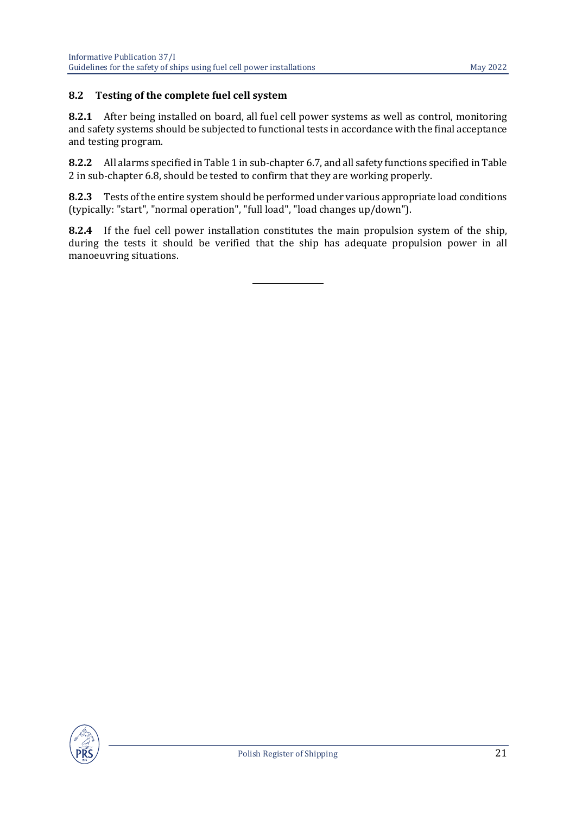#### <span id="page-20-0"></span>**8.2 Testing of the complete fuel cell system**

**8.2.1** After being installed on board, all fuel cell power systems as well as control, monitoring and safety systems should be subjected to functional tests in accordance with the final acceptance and testing program.

**8.2.2** All alarms specified in Table 1 in sub-chapter 6.7, and all safety functions specified in Table 2 in sub-chapter 6.8, should be tested to confirm that they are working properly.

**8.2.3** Tests of the entire system should be performed under various appropriate load conditions (typically: "start", "normal operation", "full load", "load changes up/down").

**8.2.4** If the fuel cell power installation constitutes the main propulsion system of the ship, during the tests it should be verified that the ship has adequate propulsion power in all manoeuvring situations.

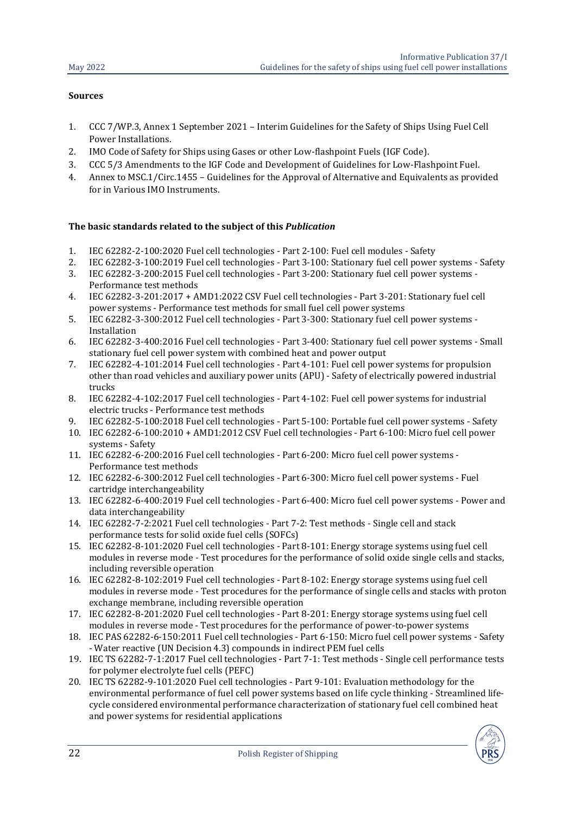#### **Sources**

- 1. CCC 7/WP.3, Annex 1 September 2021 Interim Guidelines for the Safety of Ships Using Fuel Cell Power Installations.
- 2. IMO Code of Safety for Ships using Gases or other Low-flashpoint Fuels (IGF Code).<br>2. CCC 5/3 Amendments to the IGF Code and Development of Guidelines for Low-Flas
- 3. CCC 5/3 Amendments to the IGF Code and Development of Guidelines for Low-Flashpoint Fuel.<br>4. Annex to MSC 1/Circ 1455 Guidelines for the Approval of Alternative and Equivalents as provi
- 4. Annex to MSC.1/Circ.1455 Guidelines for the Approval of Alternative and Equivalents as provided for in Various IMO Instruments.

#### **The basic standards related to the subject of this** *Publication*

- 1. IEC 62282-2-100:2020 Fuel cell technologies Part 2-100: Fuel cell modules Safety
- 2. IEC 62282-3-100:2019 Fuel cell technologies Part 3-100: Stationary fuel cell power systems Safety<br>3. IEC 62282-3-200:2015 Fuel cell technologies Part 3-200: Stationary fuel cell power systems -
- 3. IEC 62282-3-200:2015 Fuel cell technologies Part 3-200: Stationary fuel cell power systems Performance test methods
- 4. IEC 62282-3-201:2017 + AMD1:2022 CSV Fuel cell technologies Part 3-201: Stationary fuel cell power systems - Performance test methods for small fuel cell power systems
- 5. IEC 62282-3-300:2012 Fuel cell technologies Part 3-300: Stationary fuel cell power systems Installation
- 6. IEC 62282-3-400:2016 Fuel cell technologies Part 3-400: Stationary fuel cell power systems Small stationary fuel cell power system with combined heat and power output
- 7. IEC 62282-4-101:2014 Fuel cell technologies Part 4-101: Fuel cell power systems for propulsion other than road vehicles and auxiliary power units (APU) - Safety of electrically powered industrial trucks
- 8. IEC 62282-4-102:2017 Fuel cell technologies Part 4-102: Fuel cell power systems for industrial electric trucks - Performance test methods
- 9. IEC 62282-5-100:2018 Fuel cell technologies Part 5-100: Portable fuel cell power systems Safety
- 10. IEC 62282-6-100:2010 + AMD1:2012 CSV Fuel cell technologies Part 6-100: Micro fuel cell power systems - Safety
- 11. IEC 62282-6-200:2016 Fuel cell technologies Part 6-200: Micro fuel cell power systems Performance test methods
- 12. IEC 62282-6-300:2012 Fuel cell technologies Part 6-300: Micro fuel cell power systems Fuel cartridge interchangeability
- 13. IEC 62282-6-400:2019 Fuel cell technologies Part 6-400: Micro fuel cell power systems Power and data interchangeability
- 14. IEC 62282-7-2:2021 Fuel cell technologies Part 7-2: Test methods Single cell and stack performance tests for solid oxide fuel cells (SOFCs)
- 15. IEC 62282-8-101:2020 Fuel cell technologies Part 8-101: Energy storage systems using fuel cell modules in reverse mode - Test procedures for the performance of solid oxide single cells and stacks, including reversible operation
- 16. IEC 62282-8-102:2019 Fuel cell technologies Part 8-102: Energy storage systems using fuel cell modules in reverse mode - Test procedures for the performance of single cells and stacks with proton exchange membrane, including reversible operation
- 17. IEC 62282-8-201:2020 Fuel cell technologies Part 8-201: Energy storage systems using fuel cell modules in reverse mode - Test procedures for the performance of power-to-power systems
- 18. IEC PAS 62282-6-150:2011 Fuel cell technologies Part 6-150: Micro fuel cell power systems Safety - Water reactive (UN Decision 4.3) compounds in indirect PEM fuel cells
- 19. IEC TS 62282-7-1:2017 Fuel cell technologies Part 7-1: Test methods Single cell performance tests for polymer electrolyte fuel cells (PEFC)
- 20. IEC TS 62282-9-101:2020 Fuel cell technologies Part 9-101: Evaluation methodology for the environmental performance of fuel cell power systems based on life cycle thinking - Streamlined lifecycle considered environmental performance characterization of stationary fuel cell combined heat and power systems for residential applications